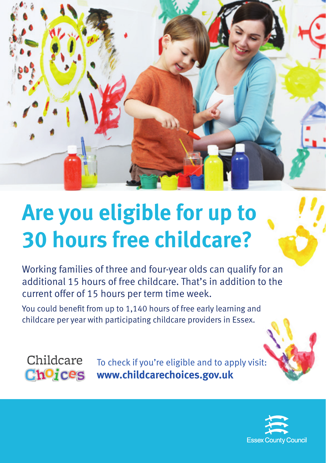

## **Are you eligible for up to 30 hours free childcare?**

Working families of three and four-year olds can qualify for an additional 15 hours of free childcare. That's in addition to the current offer of 15 hours per term time week.

You could benefit from up to 1,140 hours of free early learning and childcare per year with participating childcare providers in Essex.



To check if you're eligible and to apply visit: **www.childcarechoices.gov.uk**